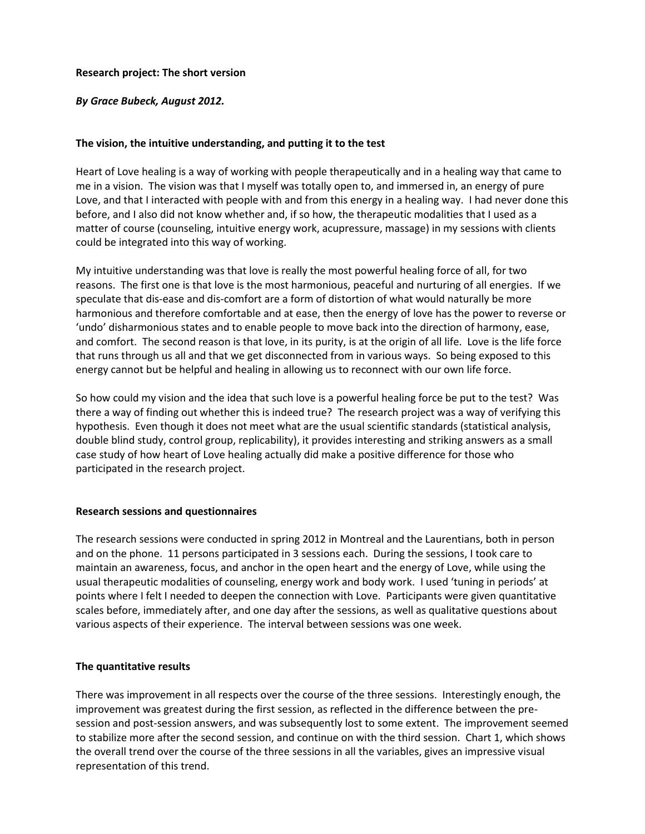## **Research project: The short version**

# *By Grace Bubeck, August 2012.*

### **The vision, the intuitive understanding, and putting it to the test**

Heart of Love healing is a way of working with people therapeutically and in a healing way that came to me in a vision. The vision was that I myself was totally open to, and immersed in, an energy of pure Love, and that I interacted with people with and from this energy in a healing way. I had never done this before, and I also did not know whether and, if so how, the therapeutic modalities that I used as a matter of course (counseling, intuitive energy work, acupressure, massage) in my sessions with clients could be integrated into this way of working.

My intuitive understanding was that love is really the most powerful healing force of all, for two reasons. The first one is that love is the most harmonious, peaceful and nurturing of all energies. If we speculate that dis-ease and dis-comfort are a form of distortion of what would naturally be more harmonious and therefore comfortable and at ease, then the energy of love has the power to reverse or 'undo' disharmonious states and to enable people to move back into the direction of harmony, ease, and comfort. The second reason is that love, in its purity, is at the origin of all life. Love is the life force that runs through us all and that we get disconnected from in various ways. So being exposed to this energy cannot but be helpful and healing in allowing us to reconnect with our own life force.

So how could my vision and the idea that such love is a powerful healing force be put to the test? Was there a way of finding out whether this is indeed true? The research project was a way of verifying this hypothesis. Even though it does not meet what are the usual scientific standards (statistical analysis, double blind study, control group, replicability), it provides interesting and striking answers as a small case study of how heart of Love healing actually did make a positive difference for those who participated in the research project.

#### **Research sessions and questionnaires**

The research sessions were conducted in spring 2012 in Montreal and the Laurentians, both in person and on the phone. 11 persons participated in 3 sessions each. During the sessions, I took care to maintain an awareness, focus, and anchor in the open heart and the energy of Love, while using the usual therapeutic modalities of counseling, energy work and body work. I used 'tuning in periods' at points where I felt I needed to deepen the connection with Love. Participants were given quantitative scales before, immediately after, and one day after the sessions, as well as qualitative questions about various aspects of their experience. The interval between sessions was one week.

#### **The quantitative results**

There was improvement in all respects over the course of the three sessions. Interestingly enough, the improvement was greatest during the first session, as reflected in the difference between the presession and post-session answers, and was subsequently lost to some extent. The improvement seemed to stabilize more after the second session, and continue on with the third session. Chart 1, which shows the overall trend over the course of the three sessions in all the variables, gives an impressive visual representation of this trend.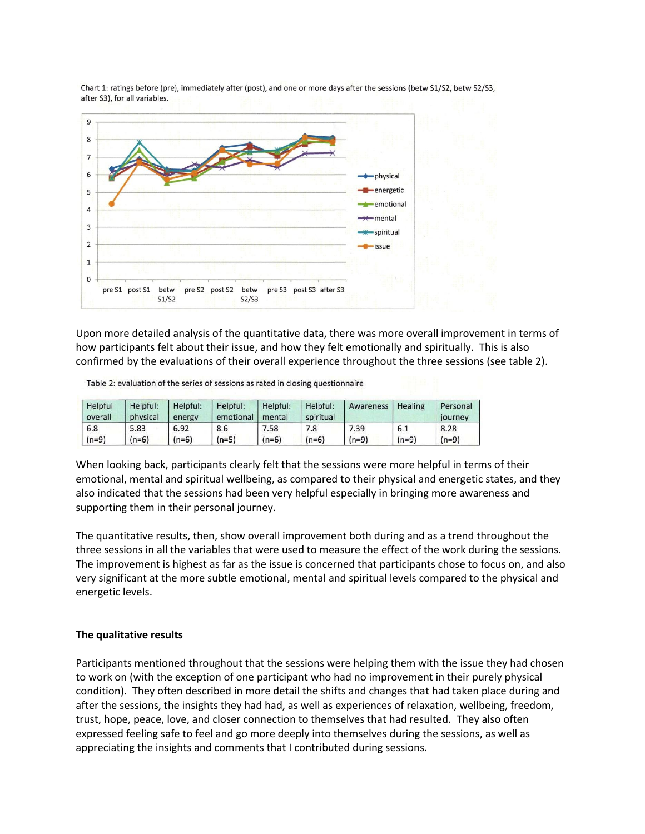

Chart 1: ratings before (pre), immediately after (post), and one or more days after the sessions (betw S1/S2, betw S2/S3, after S3), for all variables.

Upon more detailed analysis of the quantitative data, there was more overall improvement in terms of how participants felt about their issue, and how they felt emotionally and spiritually. This is also confirmed by the evaluations of their overall experience throughout the three sessions (see table 2).

Table 2: evaluation of the series of sessions as rated in closing questionnaire

| Helpful<br>overall | Helpful:<br>physical | Helpful:<br>energy | Helpful:<br>emotional | Helpful:<br>mental | Helpful:<br>spiritual | Awareness | Healing | Personal<br>journey |
|--------------------|----------------------|--------------------|-----------------------|--------------------|-----------------------|-----------|---------|---------------------|
| 6.8                | 5.83                 | 6.92               | 8.6                   | 7.58               | 7.8                   | 7.39      | 6.1     | 8.28                |
| $(n=9)$            | $(n=6)$              | $(n=6)$            | $(n=5)$               | $(n=6)$            | $(n=6)$               | $(n=9)$   | $(n=9)$ | $(n=9)$             |

When looking back, participants clearly felt that the sessions were more helpful in terms of their emotional, mental and spiritual wellbeing, as compared to their physical and energetic states, and they also indicated that the sessions had been very helpful especially in bringing more awareness and supporting them in their personal journey.

The quantitative results, then, show overall improvement both during and as a trend throughout the three sessions in all the variables that were used to measure the effect of the work during the sessions. The improvement is highest as far as the issue is concerned that participants chose to focus on, and also very significant at the more subtle emotional, mental and spiritual levels compared to the physical and energetic levels.

#### **The qualitative results**

Participants mentioned throughout that the sessions were helping them with the issue they had chosen to work on (with the exception of one participant who had no improvement in their purely physical condition). They often described in more detail the shifts and changes that had taken place during and after the sessions, the insights they had had, as well as experiences of relaxation, wellbeing, freedom, trust, hope, peace, love, and closer connection to themselves that had resulted. They also often expressed feeling safe to feel and go more deeply into themselves during the sessions, as well as appreciating the insights and comments that I contributed during sessions.